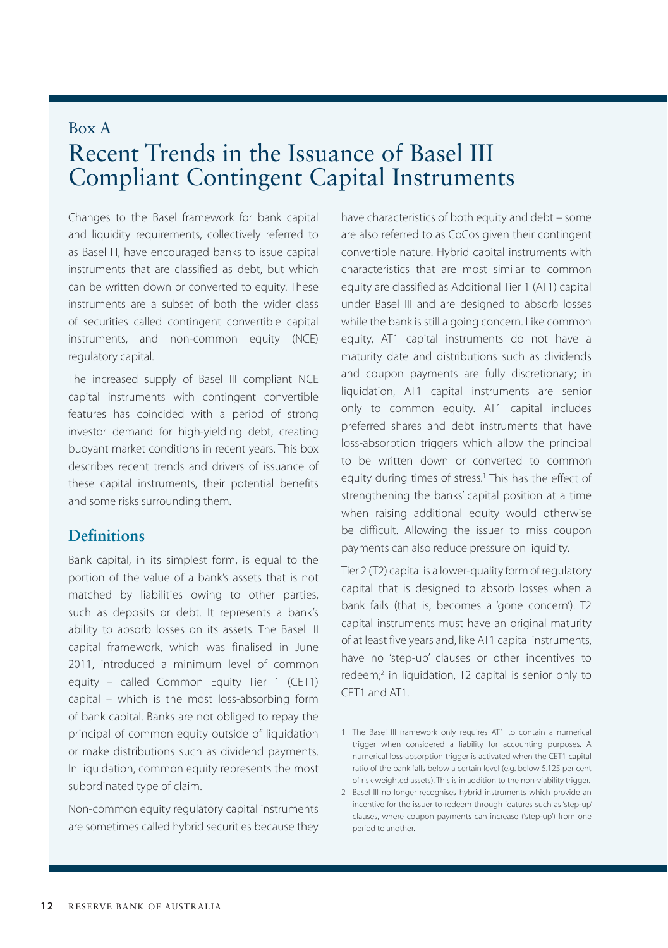# Box A Recent Trends in the Issuance of Basel III Compliant Contingent Capital Instruments

Changes to the Basel framework for bank capital and liquidity requirements, collectively referred to as Basel III, have encouraged banks to issue capital instruments that are classified as debt, but which can be written down or converted to equity. These instruments are a subset of both the wider class of securities called contingent convertible capital instruments, and non-common equity (NCE) regulatory capital.

The increased supply of Basel III compliant NCE capital instruments with contingent convertible features has coincided with a period of strong investor demand for high-yielding debt, creating buoyant market conditions in recent years. This box describes recent trends and drivers of issuance of these capital instruments, their potential benefits and some risks surrounding them.

# **Definitions**

Bank capital, in its simplest form, is equal to the portion of the value of a bank's assets that is not matched by liabilities owing to other parties, such as deposits or debt. It represents a bank's ability to absorb losses on its assets. The Basel III capital framework, which was finalised in June 2011, introduced a minimum level of common equity – called Common Equity Tier 1 (CET1) capital – which is the most loss-absorbing form of bank capital. Banks are not obliged to repay the principal of common equity outside of liquidation or make distributions such as dividend payments. In liquidation, common equity represents the most subordinated type of claim.

Non-common equity regulatory capital instruments are sometimes called hybrid securities because they have characteristics of both equity and debt – some are also referred to as CoCos given their contingent convertible nature. Hybrid capital instruments with characteristics that are most similar to common equity are classified as Additional Tier 1 (AT1) capital under Basel III and are designed to absorb losses while the bank is still a going concern. Like common equity, AT1 capital instruments do not have a maturity date and distributions such as dividends and coupon payments are fully discretionary; in liquidation, AT1 capital instruments are senior only to common equity. AT1 capital includes preferred shares and debt instruments that have loss-absorption triggers which allow the principal to be written down or converted to common equity during times of stress.<sup>1</sup> This has the effect of strengthening the banks' capital position at a time when raising additional equity would otherwise be difficult. Allowing the issuer to miss coupon payments can also reduce pressure on liquidity.

Tier 2 (T2) capital is a lower-quality form of regulatory capital that is designed to absorb losses when a bank fails (that is, becomes a 'gone concern'). T2 capital instruments must have an original maturity of at least five years and, like AT1 capital instruments, have no 'step-up' clauses or other incentives to redeem;<sup>2</sup> in liquidation, T2 capital is senior only to CET1 and AT1.

<sup>1</sup> The Basel III framework only requires AT1 to contain a numerical trigger when considered a liability for accounting purposes. A numerical loss-absorption trigger is activated when the CET1 capital ratio of the bank falls below a certain level (e.g. below 5.125 per cent of risk-weighted assets). This is in addition to the non-viability trigger.

<sup>2</sup> Basel III no longer recognises hybrid instruments which provide an incentive for the issuer to redeem through features such as 'step-up' clauses, where coupon payments can increase ('step-up') from one period to another.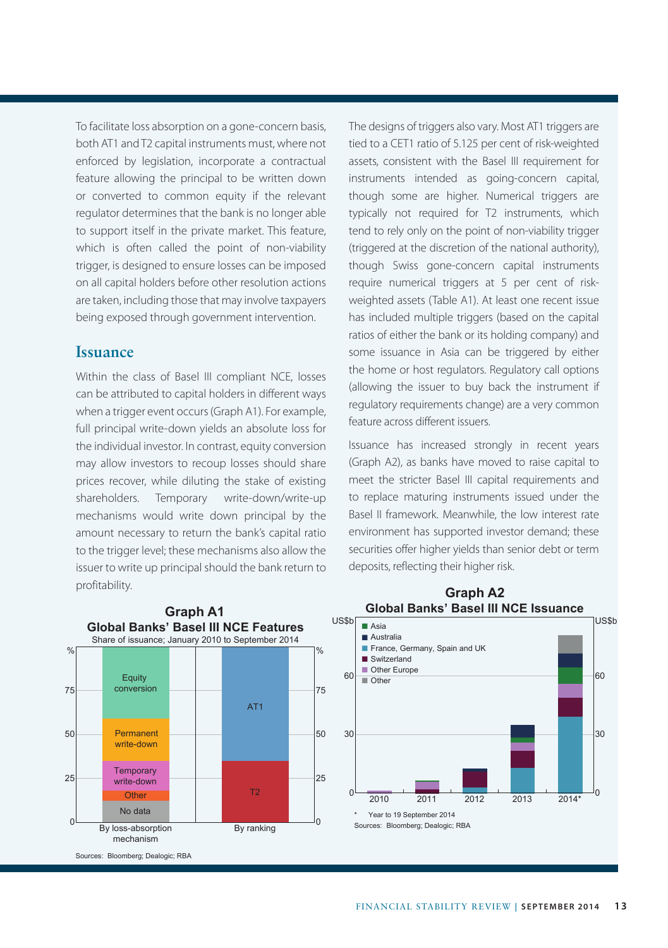To facilitate loss absorption on a gone-concern basis, both AT1 and T2 capital instruments must, where not enforced by legislation, incorporate a contractual feature allowing the principal to be written down or converted to common equity if the relevant regulator determines that the bank is no longer able to support itself in the private market. This feature, which is often called the point of non-viability trigger, is designed to ensure losses can be imposed on all capital holders before other resolution actions are taken, including those that may involve taxpayers being exposed through government intervention.

### **Issuance**

Within the class of Basel III compliant NCE, losses can be attributed to capital holders in different ways when a trigger event occurs (Graph A1). For example, full principal write-down yields an absolute loss for the individual investor. In contrast, equity conversion may allow investors to recoup losses should share prices recover, while diluting the stake of existing shareholders. Temporary write-down/write-up mechanisms would write down principal by the amount necessary to return the bank's capital ratio to the trigger level; these mechanisms also allow the issuer to write up principal should the bank return to profitability.

The designs of triggers also vary. Most AT1 triggers are tied to a CET1 ratio of 5.125 per cent of risk-weighted assets, consistent with the Basel III requirement for instruments intended as going-concern capital, though some are higher. Numerical triggers are typically not required for T2 instruments, which tend to rely only on the point of non-viability trigger (triggered at the discretion of the national authority), though Swiss gone-concern capital instruments require numerical triggers at 5 per cent of riskweighted assets (Table A1). At least one recent issue has included multiple triggers (based on the capital ratios of either the bank or its holding company) and some issuance in Asia can be triggered by either the home or host regulators. Regulatory call options (allowing the issuer to buy back the instrument if regulatory requirements change) are a very common feature across different issuers.

Issuance has increased strongly in recent years (Graph A2), as banks have moved to raise capital to meet the stricter Basel III capital requirements and to replace maturing instruments issued under the Basel II framework. Meanwhile, the low interest rate environment has supported investor demand; these securities offer higher yields than senior debt or term deposits, reflecting their higher risk.

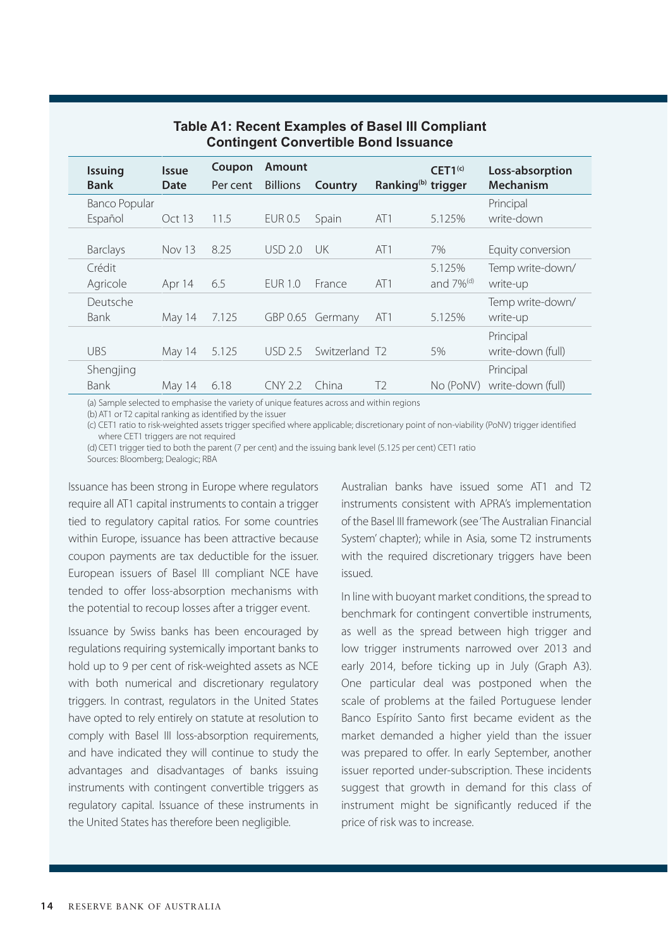| <b>Issuing</b><br><b>Bank</b> | <b>Issue</b><br>Date | Coupon<br>Per cent | <b>Amount</b><br><b>Billions</b> | Country          | Ranking <sup>(b)</sup> trigger | CET1 <sup>(c)</sup>                | Loss-absorption<br>Mechanism   |
|-------------------------------|----------------------|--------------------|----------------------------------|------------------|--------------------------------|------------------------------------|--------------------------------|
| Banco Popular                 |                      |                    |                                  |                  |                                |                                    | Principal                      |
| Español                       | Oct 13               | 11.5               | <b>EUR 0.5</b>                   | Spain            | AT1                            | 5.125%                             | write-down                     |
| <b>Barclays</b>               | Nov 13               | 8.25               | USD 2.0                          | UK               | AT1                            | 7%                                 | Equity conversion              |
| Crédit<br>Agricole            | Apr 14               | 6.5                | <b>FUR 1.0</b>                   | France           | AT1                            | 5.125%<br>and $7\%$ <sup>(d)</sup> | Temp write-down/<br>write-up   |
| Deutsche<br><b>Bank</b>       | May 14               | 7.125              |                                  | GBP 0.65 Germany | AT1                            | 5.125%                             | Temp write-down/<br>write-up   |
| <b>UBS</b>                    | May 14               | 5.125              | USD 2.5                          | Switzerland T2   |                                | 5%                                 | Principal<br>write-down (full) |
| Shengjing<br><b>Bank</b>      | May 14               | 6.18               | CNY 2.2                          | China            | T <sub>2</sub>                 | No (PoNV)                          | Principal<br>write-down (full) |

### **Table A1: Recent Examples of Basel III Compliant Contingent Convertible Bond Issuance**

(a) Sample selected to emphasise the variety of unique features across and within regions

(b)AT1 or T2 capital ranking as identified by the issuer

(c) CET1 ratio to risk-weighted assets trigger specified where applicable; discretionary point of non-viability (PoNV) trigger identified where CET1 triggers are not required

(d) CET1 trigger tied to both the parent (7 per cent) and the issuing bank level (5.125 per cent) CET1 ratio Sources: Bloomberg; Dealogic; RBA

Issuance has been strong in Europe where regulators require all AT1 capital instruments to contain a trigger tied to regulatory capital ratios. For some countries within Europe, issuance has been attractive because coupon payments are tax deductible for the issuer. European issuers of Basel III compliant NCE have tended to offer loss-absorption mechanisms with the potential to recoup losses after a trigger event.

Issuance by Swiss banks has been encouraged by regulations requiring systemically important banks to hold up to 9 per cent of risk-weighted assets as NCE with both numerical and discretionary regulatory triggers. In contrast, regulators in the United States have opted to rely entirely on statute at resolution to comply with Basel III loss-absorption requirements, and have indicated they will continue to study the advantages and disadvantages of banks issuing instruments with contingent convertible triggers as regulatory capital. Issuance of these instruments in the United States has therefore been negligible.

Australian banks have issued some AT1 and T2 instruments consistent with APRA's implementation of the Basel III framework (see 'The Australian Financial System' chapter); while in Asia, some T2 instruments with the required discretionary triggers have been issued.

In line with buoyant market conditions, the spread to benchmark for contingent convertible instruments, as well as the spread between high trigger and low trigger instruments narrowed over 2013 and early 2014, before ticking up in July (Graph A3). One particular deal was postponed when the scale of problems at the failed Portuguese lender Banco Espírito Santo first became evident as the market demanded a higher yield than the issuer was prepared to offer. In early September, another issuer reported under-subscription. These incidents suggest that growth in demand for this class of instrument might be significantly reduced if the price of risk was to increase.